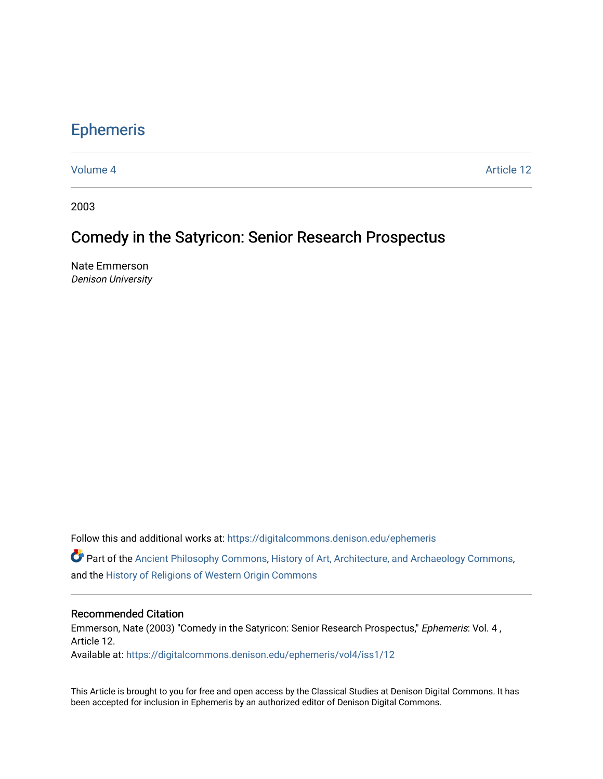# [Ephemeris](https://digitalcommons.denison.edu/ephemeris)

[Volume 4](https://digitalcommons.denison.edu/ephemeris/vol4) Article 12

2003

## Comedy in the Satyricon: Senior Research Prospectus

Nate Emmerson Denison University

Follow this and additional works at: [https://digitalcommons.denison.edu/ephemeris](https://digitalcommons.denison.edu/ephemeris?utm_source=digitalcommons.denison.edu%2Fephemeris%2Fvol4%2Fiss1%2F12&utm_medium=PDF&utm_campaign=PDFCoverPages) 

Part of the [Ancient Philosophy Commons](http://network.bepress.com/hgg/discipline/448?utm_source=digitalcommons.denison.edu%2Fephemeris%2Fvol4%2Fiss1%2F12&utm_medium=PDF&utm_campaign=PDFCoverPages), [History of Art, Architecture, and Archaeology Commons](http://network.bepress.com/hgg/discipline/510?utm_source=digitalcommons.denison.edu%2Fephemeris%2Fvol4%2Fiss1%2F12&utm_medium=PDF&utm_campaign=PDFCoverPages), and the [History of Religions of Western Origin Commons](http://network.bepress.com/hgg/discipline/542?utm_source=digitalcommons.denison.edu%2Fephemeris%2Fvol4%2Fiss1%2F12&utm_medium=PDF&utm_campaign=PDFCoverPages)

#### Recommended Citation

Emmerson, Nate (2003) "Comedy in the Satyricon: Senior Research Prospectus," Ephemeris: Vol. 4, Article 12.

Available at: [https://digitalcommons.denison.edu/ephemeris/vol4/iss1/12](https://digitalcommons.denison.edu/ephemeris/vol4/iss1/12?utm_source=digitalcommons.denison.edu%2Fephemeris%2Fvol4%2Fiss1%2F12&utm_medium=PDF&utm_campaign=PDFCoverPages) 

This Article is brought to you for free and open access by the Classical Studies at Denison Digital Commons. It has been accepted for inclusion in Ephemeris by an authorized editor of Denison Digital Commons.